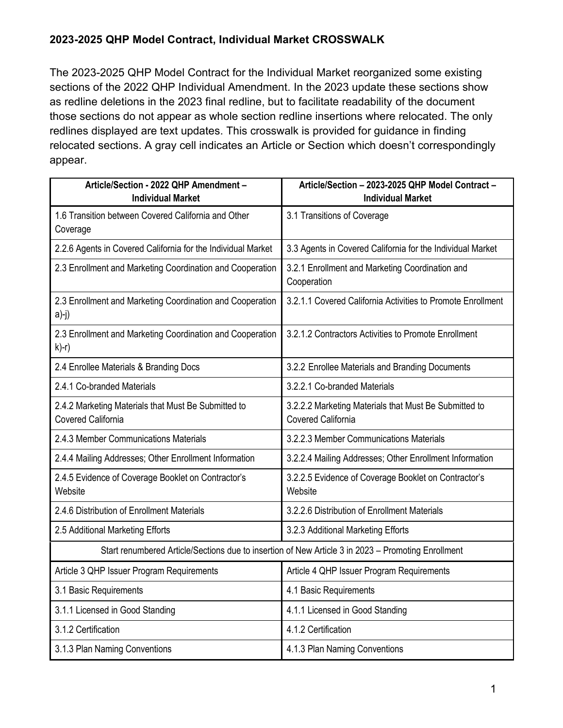The 2023-2025 QHP Model Contract for the Individual Market reorganized some existing sections of the 2022 QHP Individual Amendment. In the 2023 update these sections show as redline deletions in the 2023 final redline, but to facilitate readability of the document those sections do not appear as whole section redline insertions where relocated. The only redlines displayed are text updates. This crosswalk is provided for guidance in finding relocated sections. A gray cell indicates an Article or Section which doesn't correspondingly appear.

| Article/Section - 2022 QHP Amendment -<br><b>Individual Market</b>                                 | Article/Section - 2023-2025 QHP Model Contract -<br><b>Individual Market</b>       |
|----------------------------------------------------------------------------------------------------|------------------------------------------------------------------------------------|
| 1.6 Transition between Covered California and Other<br>Coverage                                    | 3.1 Transitions of Coverage                                                        |
| 2.2.6 Agents in Covered California for the Individual Market                                       | 3.3 Agents in Covered California for the Individual Market                         |
| 2.3 Enrollment and Marketing Coordination and Cooperation                                          | 3.2.1 Enrollment and Marketing Coordination and<br>Cooperation                     |
| 2.3 Enrollment and Marketing Coordination and Cooperation<br>$a)-j)$                               | 3.2.1.1 Covered California Activities to Promote Enrollment                        |
| 2.3 Enrollment and Marketing Coordination and Cooperation<br>$k$ )-r)                              | 3.2.1.2 Contractors Activities to Promote Enrollment                               |
| 2.4 Enrollee Materials & Branding Docs                                                             | 3.2.2 Enrollee Materials and Branding Documents                                    |
| 2.4.1 Co-branded Materials                                                                         | 3.2.2.1 Co-branded Materials                                                       |
| 2.4.2 Marketing Materials that Must Be Submitted to<br><b>Covered California</b>                   | 3.2.2.2 Marketing Materials that Must Be Submitted to<br><b>Covered California</b> |
| 2.4.3 Member Communications Materials                                                              | 3.2.2.3 Member Communications Materials                                            |
| 2.4.4 Mailing Addresses; Other Enrollment Information                                              | 3.2.2.4 Mailing Addresses; Other Enrollment Information                            |
| 2.4.5 Evidence of Coverage Booklet on Contractor's<br>Website                                      | 3.2.2.5 Evidence of Coverage Booklet on Contractor's<br>Website                    |
| 2.4.6 Distribution of Enrollment Materials                                                         | 3.2.2.6 Distribution of Enrollment Materials                                       |
| 2.5 Additional Marketing Efforts                                                                   | 3.2.3 Additional Marketing Efforts                                                 |
| Start renumbered Article/Sections due to insertion of New Article 3 in 2023 - Promoting Enrollment |                                                                                    |
| Article 3 QHP Issuer Program Requirements                                                          | Article 4 QHP Issuer Program Requirements                                          |
| 3.1 Basic Requirements                                                                             | 4.1 Basic Requirements                                                             |
| 3.1.1 Licensed in Good Standing                                                                    | 4.1.1 Licensed in Good Standing                                                    |
| 3.1.2 Certification                                                                                | 4.1.2 Certification                                                                |
| 3.1.3 Plan Naming Conventions                                                                      | 4.1.3 Plan Naming Conventions                                                      |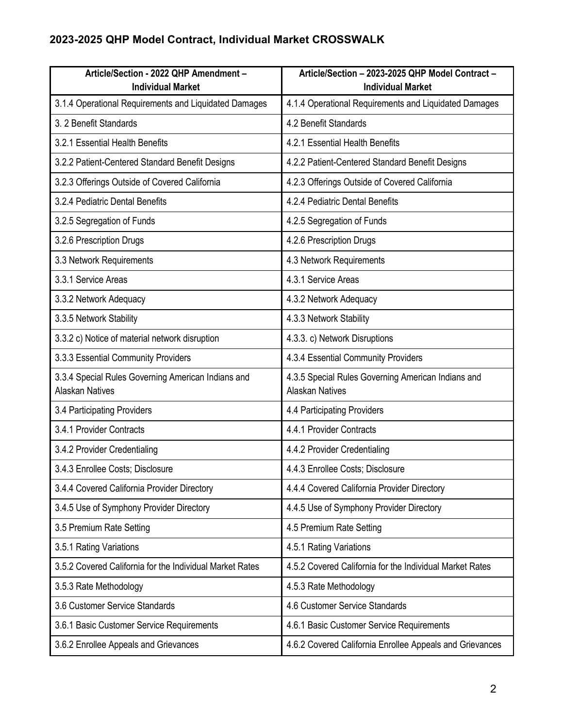| Article/Section - 2022 QHP Amendment -<br><b>Individual Market</b>           | Article/Section - 2023-2025 QHP Model Contract -<br><b>Individual Market</b> |
|------------------------------------------------------------------------------|------------------------------------------------------------------------------|
| 3.1.4 Operational Requirements and Liquidated Damages                        | 4.1.4 Operational Requirements and Liquidated Damages                        |
| 3. 2 Benefit Standards                                                       | 4.2 Benefit Standards                                                        |
| 3.2.1 Essential Health Benefits                                              | 4.2.1 Essential Health Benefits                                              |
| 3.2.2 Patient-Centered Standard Benefit Designs                              | 4.2.2 Patient-Centered Standard Benefit Designs                              |
| 3.2.3 Offerings Outside of Covered California                                | 4.2.3 Offerings Outside of Covered California                                |
| 3.2.4 Pediatric Dental Benefits                                              | 4.2.4 Pediatric Dental Benefits                                              |
| 3.2.5 Segregation of Funds                                                   | 4.2.5 Segregation of Funds                                                   |
| 3.2.6 Prescription Drugs                                                     | 4.2.6 Prescription Drugs                                                     |
| 3.3 Network Requirements                                                     | 4.3 Network Requirements                                                     |
| 3.3.1 Service Areas                                                          | 4.3.1 Service Areas                                                          |
| 3.3.2 Network Adequacy                                                       | 4.3.2 Network Adequacy                                                       |
| 3.3.5 Network Stability                                                      | 4.3.3 Network Stability                                                      |
| 3.3.2 c) Notice of material network disruption                               | 4.3.3. c) Network Disruptions                                                |
| 3.3.3 Essential Community Providers                                          | 4.3.4 Essential Community Providers                                          |
| 3.3.4 Special Rules Governing American Indians and<br><b>Alaskan Natives</b> | 4.3.5 Special Rules Governing American Indians and<br><b>Alaskan Natives</b> |
| 3.4 Participating Providers                                                  | 4.4 Participating Providers                                                  |
| 3.4.1 Provider Contracts                                                     | 4.4.1 Provider Contracts                                                     |
| 3.4.2 Provider Credentialing                                                 | 4.4.2 Provider Credentialing                                                 |
| 3.4.3 Enrollee Costs; Disclosure                                             | 4.4.3 Enrollee Costs; Disclosure                                             |
| 3.4.4 Covered California Provider Directory                                  | 4.4.4 Covered California Provider Directory                                  |
| 3.4.5 Use of Symphony Provider Directory                                     | 4.4.5 Use of Symphony Provider Directory                                     |
| 3.5 Premium Rate Setting                                                     | 4.5 Premium Rate Setting                                                     |
| 3.5.1 Rating Variations                                                      | 4.5.1 Rating Variations                                                      |
| 3.5.2 Covered California for the Individual Market Rates                     | 4.5.2 Covered California for the Individual Market Rates                     |
| 3.5.3 Rate Methodology                                                       | 4.5.3 Rate Methodology                                                       |
| 3.6 Customer Service Standards                                               | 4.6 Customer Service Standards                                               |
| 3.6.1 Basic Customer Service Requirements                                    | 4.6.1 Basic Customer Service Requirements                                    |
| 3.6.2 Enrollee Appeals and Grievances                                        | 4.6.2 Covered California Enrollee Appeals and Grievances                     |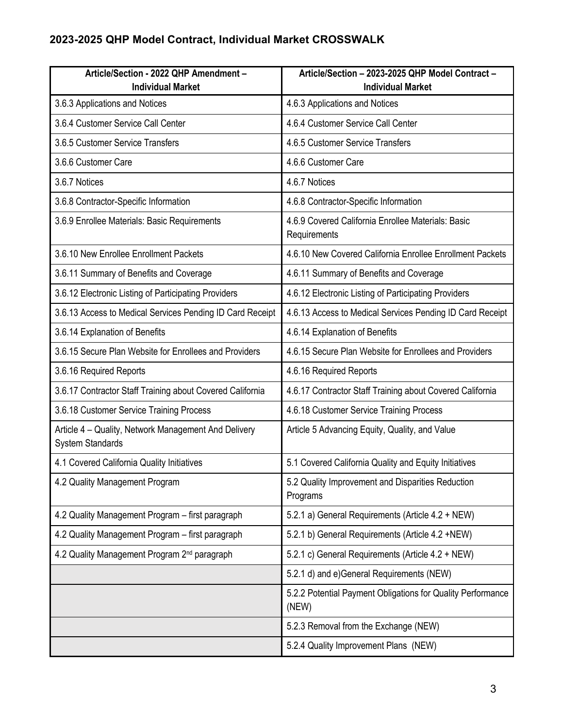| Article/Section - 2022 QHP Amendment -<br><b>Individual Market</b>              | Article/Section - 2023-2025 QHP Model Contract -<br><b>Individual Market</b> |
|---------------------------------------------------------------------------------|------------------------------------------------------------------------------|
| 3.6.3 Applications and Notices                                                  | 4.6.3 Applications and Notices                                               |
| 3.6.4 Customer Service Call Center                                              | 4.6.4 Customer Service Call Center                                           |
| 3.6.5 Customer Service Transfers                                                | 4.6.5 Customer Service Transfers                                             |
| 3.6.6 Customer Care                                                             | 4.6.6 Customer Care                                                          |
| 3.6.7 Notices                                                                   | 4.6.7 Notices                                                                |
| 3.6.8 Contractor-Specific Information                                           | 4.6.8 Contractor-Specific Information                                        |
| 3.6.9 Enrollee Materials: Basic Requirements                                    | 4.6.9 Covered California Enrollee Materials: Basic<br>Requirements           |
| 3.6.10 New Enrollee Enrollment Packets                                          | 4.6.10 New Covered California Enrollee Enrollment Packets                    |
| 3.6.11 Summary of Benefits and Coverage                                         | 4.6.11 Summary of Benefits and Coverage                                      |
| 3.6.12 Electronic Listing of Participating Providers                            | 4.6.12 Electronic Listing of Participating Providers                         |
| 3.6.13 Access to Medical Services Pending ID Card Receipt                       | 4.6.13 Access to Medical Services Pending ID Card Receipt                    |
| 3.6.14 Explanation of Benefits                                                  | 4.6.14 Explanation of Benefits                                               |
| 3.6.15 Secure Plan Website for Enrollees and Providers                          | 4.6.15 Secure Plan Website for Enrollees and Providers                       |
| 3.6.16 Required Reports                                                         | 4.6.16 Required Reports                                                      |
| 3.6.17 Contractor Staff Training about Covered California                       | 4.6.17 Contractor Staff Training about Covered California                    |
| 3.6.18 Customer Service Training Process                                        | 4.6.18 Customer Service Training Process                                     |
| Article 4 - Quality, Network Management And Delivery<br><b>System Standards</b> | Article 5 Advancing Equity, Quality, and Value                               |
| 4.1 Covered California Quality Initiatives                                      | 5.1 Covered California Quality and Equity Initiatives                        |
| 4.2 Quality Management Program                                                  | 5.2 Quality Improvement and Disparities Reduction<br>Programs                |
| 4.2 Quality Management Program - first paragraph                                | 5.2.1 a) General Requirements (Article 4.2 + NEW)                            |
| 4.2 Quality Management Program - first paragraph                                | 5.2.1 b) General Requirements (Article 4.2 +NEW)                             |
| 4.2 Quality Management Program 2 <sup>nd</sup> paragraph                        | 5.2.1 c) General Requirements (Article 4.2 + NEW)                            |
|                                                                                 | 5.2.1 d) and e)General Requirements (NEW)                                    |
|                                                                                 | 5.2.2 Potential Payment Obligations for Quality Performance<br>(NEW)         |
|                                                                                 | 5.2.3 Removal from the Exchange (NEW)                                        |
|                                                                                 | 5.2.4 Quality Improvement Plans (NEW)                                        |